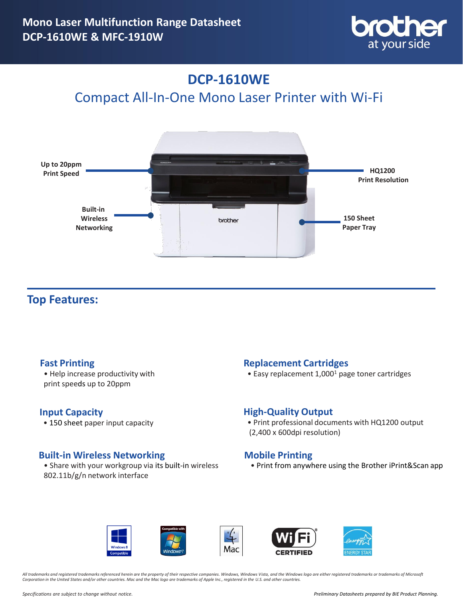

## **DCP-1610WE**

Compact All-In-One Mono Laser Printer with Wi-Fi



### **Top Features:**

• Help increase productivity with print speeds up to 20ppm

### **Input Capacity**

• 150 sheet paper input capacity

### **Built-in Wireless Networking**

• Share with your workgroup via its built-in wireless 802.11b/g/n network interface

### **Fast Printing Community Community Replacement Cartridges**

• Easy replacement 1,000<sup>1</sup> page toner cartridges

### **High-Quality Output**

• Print professional documents with HQ1200 output (2,400 x 600dpi resolution)

### **Mobile Printing**

• Print from anywhere using the Brother iPrint&Scan app









*All trademarks and registered trademarks referenced herein are the property of their respective companies. Windows, Windows Vista, and the Windows logo are either registered trademarks or trademarks of Microsoft Corporation in the United States and/or other countries. Mac and the Mac logo are trademarks of Apple Inc., registered in the U.S. and other countries.*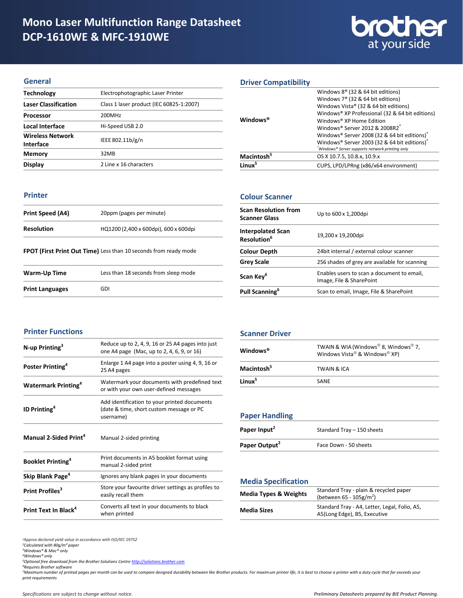# **brother**

### **General**

| <b>Technology</b>                    | Electrophotographic Laser Printer        |
|--------------------------------------|------------------------------------------|
| <b>Laser Classification</b>          | Class 1 laser product (IEC 60825-1:2007) |
| Processor                            | 200MHz                                   |
| Local Interface                      | Hi-Speed USB 2.0                         |
| <b>Wireless Network</b><br>Interface | IEEE 802.11b/g/n                         |
| <b>Memory</b>                        | 32MB                                     |
| Display                              | 2 Line x 16 characters                   |
|                                      |                                          |

### **Printer**

| Print Speed (A4)  | 20ppm (pages per minute)              |
|-------------------|---------------------------------------|
| <b>Resolution</b> | HQ1200 (2,400 x 600dpi), 600 x 600dpi |
|                   |                                       |

### **FPOT (First Print Out Time)** Less than 10 seconds from ready mode

| Warm-Up Time           | Less than 18 seconds from sleep mode |
|------------------------|--------------------------------------|
| <b>Print Languages</b> | GDI                                  |

### **Driver Compatibility**

|                             | Windows $8^{\circ}$ (32 & 64 bit editions)                                                      |
|-----------------------------|-------------------------------------------------------------------------------------------------|
|                             | Windows 7 <sup>®</sup> (32 & 64 bit editions)                                                   |
|                             | Windows Vista® (32 & 64 bit editions)                                                           |
|                             | Windows® XP Professional (32 & 64 bit editions)                                                 |
| <b>Windows</b> <sup>®</sup> | Windows® XP Home Edition                                                                        |
|                             | Windows® Server 2012 & 2008R2 <sup>*</sup>                                                      |
|                             | Windows® Server 2008 (32 & 64 bit editions)*                                                    |
|                             | Windows® Server 2003 (32 & 64 bit editions)*<br>*Windows® Server supports network printing only |
| Macintosh <sup>5</sup>      | OS X 10.7.5, 10.8.x, 10.9.x                                                                     |
|                             |                                                                                                 |
| l inux <sup>5</sup>         | CUPS, LPD/LPRng (x86/x64 environment)                                                           |
|                             |                                                                                                 |

### **Colour Scanner**

| <b>Scan Resolution from</b><br><b>Scanner Glass</b> | Up to 600 x 1,200dpi                                                   |
|-----------------------------------------------------|------------------------------------------------------------------------|
| <b>Interpolated Scan</b><br>Resolution <sup>6</sup> | 19,200 x 19,200dpi                                                     |
| <b>Colour Depth</b>                                 | 24 bit internal / external colour scanner                              |
| <b>Grey Scale</b>                                   | 256 shades of grey are available for scanning                          |
| Scan Key <sup>6</sup>                               | Enables users to scan a document to email,<br>Image, File & SharePoint |
| Pull Scanning <sup>6</sup>                          | Scan to email, Image, File & SharePoint                                |

### **Printer Functions**

| N-up Printing <sup>3</sup>             | Reduce up to 2, 4, 9, 16 or 25 A4 pages into just<br>one A4 page (Mac, up to 2, 4, 6, 9, or 16)       |
|----------------------------------------|-------------------------------------------------------------------------------------------------------|
| Poster Printing <sup>4</sup>           | Enlarge 1 A4 page into a poster using 4, 9, 16 or<br>25 A4 pages                                      |
| <b>Watermark Printing</b> <sup>4</sup> | Watermark your documents with predefined text<br>or with your own user-defined messages               |
| <b>ID Printing</b> <sup>4</sup>        | Add identification to your printed documents<br>(date & time, short custom message or PC<br>username) |
| Manual 2-Sided Print <sup>4</sup>      | Manual 2-sided printing                                                                               |
| Booklet Printing <sup>4</sup>          | Print documents in A5 booklet format using<br>manual 2-sided print                                    |
| Skip Blank Page <sup>4</sup>           | Ignores any blank pages in your documents                                                             |
| Print Profiles <sup>3</sup>            | Store your favourite driver settings as profiles to<br>easily recall them                             |
| Print Text In Black <sup>4</sup>       | Converts all text in your documents to black<br>when printed                                          |
|                                        |                                                                                                       |

#### **Scanner Driver**

| Windows <sup>®</sup>   | TWAIN & WIA (Windows® 8, Windows® 7,<br>Windows Vista® & Windows® XP) |
|------------------------|-----------------------------------------------------------------------|
| Macintosh <sup>5</sup> | <b>TWAIN &amp; ICA</b>                                                |
| Linux <sup>5</sup>     | SANE                                                                  |

### **Paper Handling**

| Paper Input <sup>2</sup>  | Standard Tray - 150 sheets |
|---------------------------|----------------------------|
| Paper Output <sup>2</sup> | Face Down - 50 sheets      |

### **Media Specification**

| <b>Media Types &amp; Weights</b> | Standard Tray - plain & recycled paper<br>(between $65 - 105g/m^2$ )          |
|----------------------------------|-------------------------------------------------------------------------------|
| <b>Media Sizes</b>               | Standard Tray - A4, Letter, Legal, Folio, A5,<br>A5(Long Edge), B5, Executive |

*<sup>1</sup>Approx declared yield value in accordance with ISO/IEC 19752*

*<sup>2</sup>Calculated with 80g/m² paper <sup>3</sup>Windows® & Mac® only*

*<sup>4</sup>Windows® only*

*<sup>5</sup>Optional free download from the Brother Solutions Centre [http://solutions.brother.com](http://solutions.brother.com/)*

*<sup>6</sup>Requires Brother software*

<sup>7</sup>Maximum number of printed pages per month can be used to compare designed durability between like Brother products. For maximum printer life, it is best to choose a printer with a duty cycle that far exceeds your *print requirements*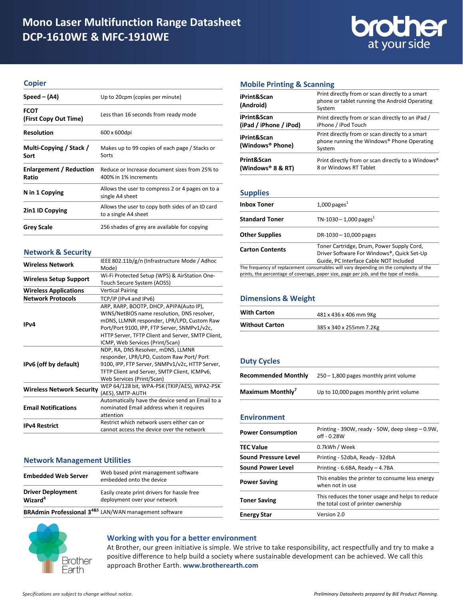

### **Copier**

| $Speed - (A4)$                          | Up to 20cpm (copies per minute)                                          |
|-----------------------------------------|--------------------------------------------------------------------------|
| <b>FCOT</b><br>(First Copy Out Time)    | Less than 16 seconds from ready mode                                     |
| <b>Resolution</b>                       | 600 x 600dpi                                                             |
| Multi-Copying / Stack /<br>Sort         | Makes up to 99 copies of each page / Stacks or<br>Sorts                  |
| <b>Enlargement / Reduction</b><br>Ratio | Reduce or Increase document sizes from 25% to<br>400% in 1% increments   |
| N in 1 Copying                          | Allows the user to compress 2 or 4 pages on to a<br>single A4 sheet      |
| 2in1 ID Copying                         | Allows the user to copy both sides of an ID card<br>to a single A4 sheet |
| <b>Grey Scale</b>                       | 256 shades of grey are available for copying                             |

### **Network & Security**

| <b>Wireless Network</b>          | IEEE 802.11b/g/n (Infrastructure Mode / Adhoc     |
|----------------------------------|---------------------------------------------------|
|                                  | Mode)                                             |
| <b>Wireless Setup Support</b>    | Wi-Fi Protected Setup (WPS) & AirStation One-     |
|                                  | Touch Secure System (AOSS)                        |
| <b>Wireless Applications</b>     | <b>Vertical Pairing</b>                           |
| <b>Network Protocols</b>         | TCP/IP (IPv4 and IPv6)                            |
|                                  | ARP, RARP, BOOTP, DHCP, APIPA(Auto IP),           |
|                                  | WINS/NetBIOS name resolution, DNS resolver,       |
|                                  | mDNS, LLMNR responder, LPR/LPD, Custom Raw        |
| IP <sub>v</sub> 4                | Port/Port 9100, IPP, FTP Server, SNMPv1/v2c,      |
|                                  | HTTP Server, TFTP Client and Server, SMTP Client, |
|                                  | ICMP, Web Services (Print/Scan)                   |
|                                  | NDP, RA, DNS Resolver, mDNS, LLMNR                |
|                                  | responder, LPR/LPD, Custom Raw Port/ Port         |
| IPv6 (off by default)            | 9100, IPP, FTP Server, SNMPv1/v2c, HTTP Server,   |
|                                  | TFTP Client and Server, SMTP Client, ICMPv6,      |
|                                  | Web Services (Print/Scan)                         |
| <b>Wireless Network Security</b> | WEP 64/128 bit, WPA-PSK (TKIP/AES), WPA2-PSK      |
|                                  | (AES), SMTP-AUTH                                  |
| <b>Email Notifications</b>       | Automatically have the device send an Email to a  |
|                                  | nominated Email address when it requires          |
|                                  | attention                                         |
| <b>IPv4 Restrict</b>             | Restrict which network users either can or        |
|                                  | cannot access the device over the network         |

### **Network Management Utilities**

|                                                 | <b>BRAdmin Professional 3<sup>4&amp;5</sup></b> LAN/WAN management software |
|-------------------------------------------------|-----------------------------------------------------------------------------|
| <b>Driver Deployment</b><br>Wizard <sup>4</sup> | Easily create print drivers for hassle free<br>deployment over your network |
| <b>Embedded Web Server</b>                      | Web based print management software<br>embedded onto the device             |

### **Working with you for a better environment**

At Brother, our green initiative is simple. We strive to take responsibility, act respectfully and try to make a positive difference to help build a society where sustainable development can be achieved. We call this approach Brother Earth. **www.brotherearth.com**

### **Mobile Printing & Scanning**

| iPrint&Scan<br>(Android)                    | Print directly from or scan directly to a smart<br>phone or tablet running the Android Operating<br>System |
|---------------------------------------------|------------------------------------------------------------------------------------------------------------|
| iPrint&Scan<br>(iPad / iPhone / iPod)       | Print directly from or scan directly to an iPad /<br>iPhone / iPod Touch                                   |
| iPrint&Scan<br>(Windows <sup>®</sup> Phone) | Print directly from or scan directly to a smart<br>phone running the Windows® Phone Operating<br>System    |
| Print&Scan<br>(Windows <sup>®</sup> 8 & RT) | Print directly from or scan directly to a Windows®<br>8 or Windows RT Tablet                               |

### **Supplies**

| <b>Inbox Toner</b>     | $1,000$ pages <sup>1</sup>                                                                                                                                                    |
|------------------------|-------------------------------------------------------------------------------------------------------------------------------------------------------------------------------|
| <b>Standard Toner</b>  | TN-1030 - 1,000 pages <sup>1</sup>                                                                                                                                            |
| <b>Other Supplies</b>  | DR-1030 - 10,000 pages                                                                                                                                                        |
| <b>Carton Contents</b> | Toner Cartridge, Drum, Power Supply Cord,<br>Driver Software For Windows®, Quick Set-Up<br>Guide, PC Interface Cable NOT Included                                             |
|                        | The frequency of replacement consumables will vary depending on the complexity of the<br>prints, the percentage of coverage, paper size, page per job, and the type of media. |

### **Dimensions & Weight**

| <b>With Carton</b>    | 481 x 436 x 406 mm 9Kg  |
|-----------------------|-------------------------|
| <b>Without Carton</b> | 385 x 340 x 255mm 7.2Kg |

### **Duty Cycles**

| <b>Recommended Monthly</b>   | $250 - 1,800$ pages monthly print volume |
|------------------------------|------------------------------------------|
| Maximum Monthly <sup>7</sup> | Up to 10,000 pages monthly print volume  |

### **Environment**

| <b>Power Consumption</b>    | Printing - 390W, ready - 50W, deep sleep - 0.9W,<br>$off - 0.28W$                       |
|-----------------------------|-----------------------------------------------------------------------------------------|
| <b>TEC Value</b>            | 0.7kWh / Week                                                                           |
| <b>Sound Pressure Level</b> | Printing - 52dbA, Ready - 32dbA                                                         |
| <b>Sound Power Level</b>    | Printing - 6.6BA, Ready - 4.7BA                                                         |
| <b>Power Saving</b>         | This enables the printer to consume less energy<br>when not in use                      |
| <b>Toner Saving</b>         | This reduces the toner usage and helps to reduce<br>the total cost of printer ownership |
| <b>Energy Star</b>          | Version 2.0                                                                             |

Brother Earth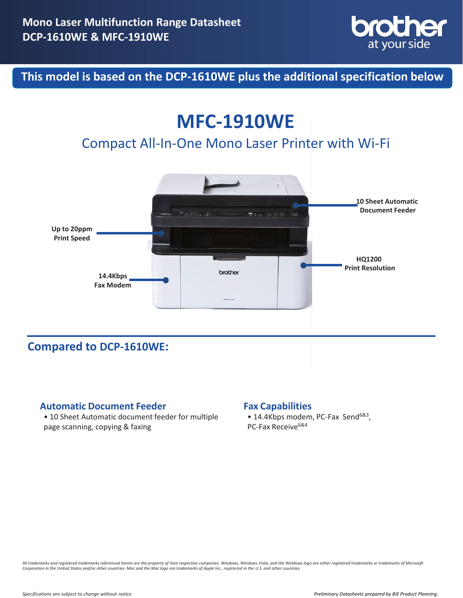

**This model is based on the DCP-1610WE plus the additional specification below**

# **MFC-1910WE**

## Compact All-In-One Mono Laser Printer with Wi-Fi



**Compared to DCP-1610WE:**

### **Automatic Document Feeder Fax Capabilities**

• 10 Sheet Automatic document feeder for multiple page scanning, copying & faxing

• 14.4Kbps modem, PC-Fax Send<sup>6&3</sup>, PC-Fax Receive<sup>6&4</sup>

All trademarks and registered trademarks referenced herein are the property of their respective companies. Windows, Windows Vista, and the Windows logo are either registered trademarks or trademarks of Microsoft<br>Corporatio